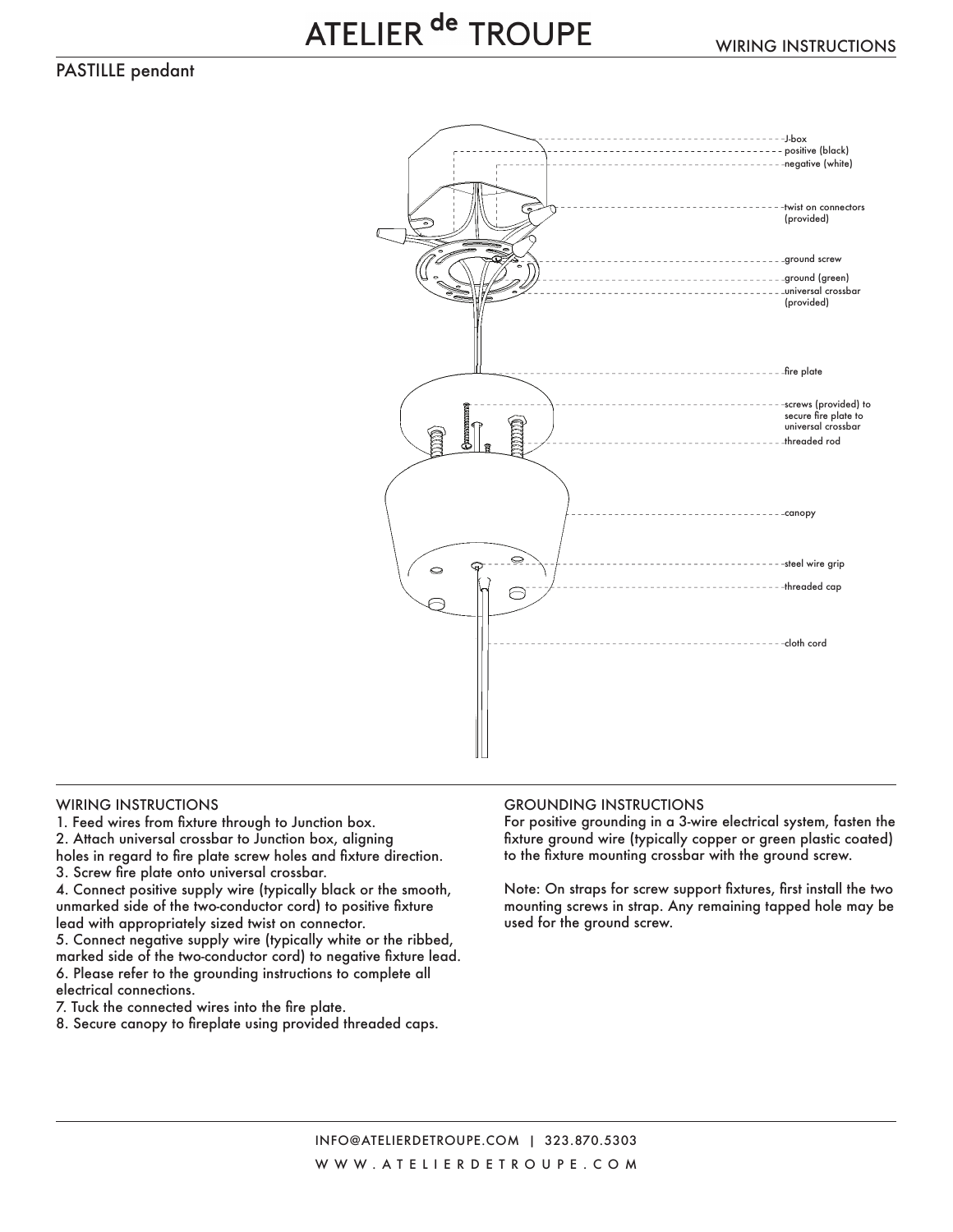PASTILLE pendant



1. Feed wires from fixture through to Junction box.

2. Attach universal crossbar to Junction box, aligning

holes in regard to fire plate screw holes and fixture direction. 3. Screw fire plate onto universal crossbar.

4. Connect positive supply wire (typically black or the smooth, unmarked side of the two-conductor cord) to positive fixture lead with appropriately sized twist on connector.

5. Connect negative supply wire (typically white or the ribbed, marked side of the two-conductor cord) to negative fixture lead. 6. Please refer to the grounding instructions to complete all electrical connections.

7. Tuck the connected wires into the fire plate.

8. Secure canopy to fireplate using provided threaded caps.

## WIRING INSTRUCTIONS GROUNDING INSTRUCTIONS

For positive grounding in a 3-wire electrical system, fasten the fixture ground wire (typically copper or green plastic coated) to the fixture mounting crossbar with the ground screw.

Note: On straps for screw support fixtures, first install the two mounting screws in strap. Any remaining tapped hole may be used for the ground screw.